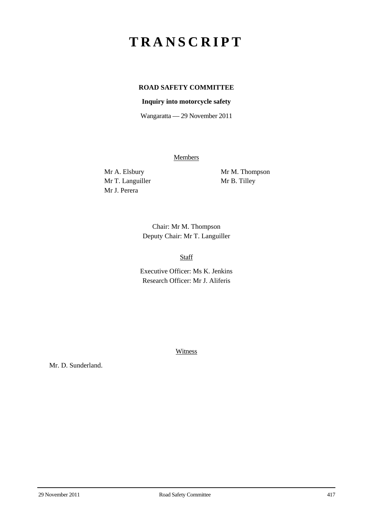# **TRANSCRIPT**

# **ROAD SAFETY COMMITTEE**

# **Inquiry into motorcycle safety**

Wangaratta — 29 November 2011

**Members** 

Mr T. Languiller Mr B. Tilley Mr J. Perera

Mr A. Elsbury Mr M. Thompson

Chair: Mr M. Thompson Deputy Chair: Mr T. Languiller

Staff

Executive Officer: Ms K. Jenkins Research Officer: Mr J. Aliferis

**Witness** 

Mr. D. Sunderland.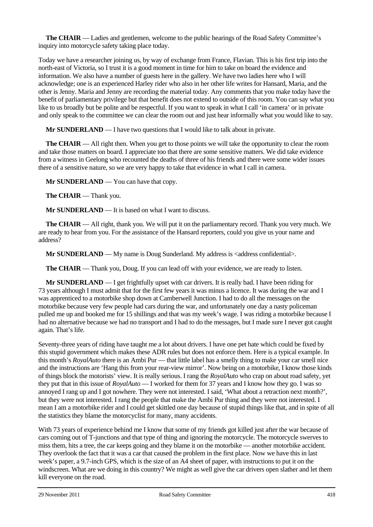**The CHAIR** — Ladies and gentlemen, welcome to the public hearings of the Road Safety Committee's inquiry into motorcycle safety taking place today.

Today we have a researcher joining us, by way of exchange from France, Flavian. This is his first trip into the north-east of Victoria, so I trust it is a good moment in time for him to take on board the evidence and information. We also have a number of guests here in the gallery. We have two ladies here who I will acknowledge; one is an experienced Harley rider who also in her other life writes for Hansard, Maria, and the other is Jenny. Maria and Jenny are recording the material today. Any comments that you make today have the benefit of parliamentary privilege but that benefit does not extend to outside of this room. You can say what you like to us broadly but be polite and be respectful. If you want to speak in what I call 'in camera' or in private and only speak to the committee we can clear the room out and just hear informally what you would like to say.

**Mr SUNDERLAND** — I have two questions that I would like to talk about in private.

**The CHAIR** — All right then. When you get to those points we will take the opportunity to clear the room and take those matters on board. I appreciate too that there are some sensitive matters. We did take evidence from a witness in Geelong who recounted the deaths of three of his friends and there were some wider issues there of a sensitive nature, so we are very happy to take that evidence in what I call in camera.

**Mr SUNDERLAND** — You can have that copy.

**The CHAIR** — Thank you.

**Mr SUNDERLAND** — It is based on what I want to discuss.

**The CHAIR** — All right, thank you. We will put it on the parliamentary record. Thank you very much. We are ready to hear from you. For the assistance of the Hansard reporters, could you give us your name and address?

**Mr SUNDERLAND** — My name is Doug Sunderland. My address is <address confidential>.

**The CHAIR** — Thank you, Doug. If you can lead off with your evidence, we are ready to listen.

**Mr SUNDERLAND** — I get frightfully upset with car drivers. It is really bad. I have been riding for 73 years although I must admit that for the first few years it was minus a licence. It was during the war and I was apprenticed to a motorbike shop down at Camberwell Junction. I had to do all the messages on the motorbike because very few people had cars during the war, and unfortunately one day a nasty policeman pulled me up and booked me for 15 shillings and that was my week's wage. I was riding a motorbike because I had no alternative because we had no transport and I had to do the messages, but I made sure I never got caught again. That's life.

Seventy-three years of riding have taught me a lot about drivers. I have one pet hate which could be fixed by this stupid government which makes these ADR rules but does not enforce them. Here is a typical example. In this month's *RoyalAuto* there is an Ambi Pur — that little label has a smelly thing to make your car smell nice and the instructions are 'Hang this from your rear-view mirror'. Now being on a motorbike, I know those kinds of things block the motorists' view. It is really serious. I rang the *RoyalAuto* who crap on about road safety, yet they put that in this issue of *RoyalAuto* — I worked for them for 37 years and I know how they go. I was so annoyed I rang up and I got nowhere. They were not interested. I said, 'What about a retraction next month?', but they were not interested. I rang the people that make the Ambi Pur thing and they were not interested. I mean I am a motorbike rider and I could get skittled one day because of stupid things like that, and in spite of all the statistics they blame the motorcyclist for many, many accidents.

With 73 years of experience behind me I know that some of my friends got killed just after the war because of cars coming out of T-junctions and that type of thing and ignoring the motorcycle. The motorcycle swerves to miss them, hits a tree, the car keeps going and they blame it on the motorbike — another motorbike accident. They overlook the fact that it was a car that caused the problem in the first place. Now we have this in last week's paper, a 9.7-inch GPS, which is the size of an A4 sheet of paper, with instructions to put it on the windscreen. What are we doing in this country? We might as well give the car drivers open slather and let them kill everyone on the road.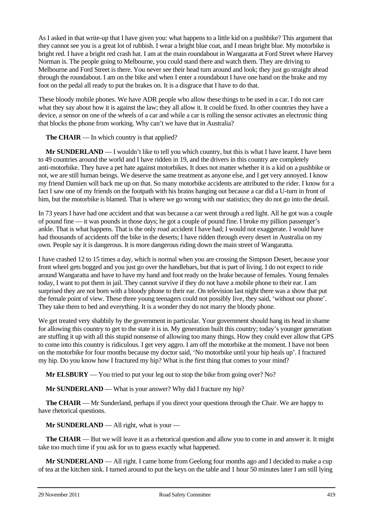As I asked in that write-up that I have given you: what happens to a little kid on a pushbike? This argument that they cannot see you is a great lot of rubbish. I wear a bright blue coat, and I mean bright blue. My motorbike is bright red. I have a bright red crash hat. I am at the main roundabout in Wangaratta at Ford Street where Harvey Norman is. The people going to Melbourne, you could stand there and watch them. They are driving to Melbourne and Ford Street is there. You never see their head turn around and look; they just go straight ahead through the roundabout. I am on the bike and when I enter a roundabout I have one hand on the brake and my foot on the pedal all ready to put the brakes on. It is a disgrace that I have to do that.

These bloody mobile phones. We have ADR people who allow these things to be used in a car. I do not care what they say about how it is against the law; they all allow it. It could be fixed. In other countries they have a device, a sensor on one of the wheels of a car and while a car is rolling the sensor activates an electronic thing that blocks the phone from working. Why can't we have that in Australia?

# **The CHAIR** — In which country is that applied?

**Mr SUNDERLAND** — I wouldn't like to tell you which country, but this is what I have learnt. I have been to 49 countries around the world and I have ridden in 19, and the drivers in this country are completely anti-motorbike. They have a pet hate against motorbikes. It does not matter whether it is a kid on a pushbike or not, we are still human beings. We deserve the same treatment as anyone else, and I get very annoyed. I know my friend Damien will back me up on that. So many motorbike accidents are attributed to the rider. I know for a fact I saw one of my friends on the footpath with his brains hanging out because a car did a U-turn in front of him, but the motorbike is blamed. That is where we go wrong with our statistics; they do not go into the detail.

In 73 years I have had one accident and that was because a car went through a red light. All he got was a couple of pound fine — it was pounds in those days; he got a couple of pound fine. I broke my pillion passenger's ankle. That is what happens. That is the only road accident I have had; I would not exaggerate. I would have had thousands of accidents off the bike in the deserts; I have ridden through every desert in Australia on my own. People say it is dangerous. It is more dangerous riding down the main street of Wangaratta.

I have crashed 12 to 15 times a day, which is normal when you are crossing the Simpson Desert, because your front wheel gets bogged and you just go over the handlebars, but that is part of living. I do not expect to ride around Wangaratta and have to have my hand and foot ready on the brake because of females. Young females today, I want to put them in jail. They cannot survive if they do not have a mobile phone to their ear. I am surprised they are not born with a bloody phone to their ear. On television last night there was a show that put the female point of view. These three young teenagers could not possibly live, they said, 'without our phone'. They take them to bed and everything. It is a wonder they do not marry the bloody phone.

We get treated very shabbily by the government in particular. Your government should hang its head in shame for allowing this country to get to the state it is in. My generation built this country; today's younger generation are stuffing it up with all this stupid nonsense of allowing too many things. How they could ever allow that GPS to come into this country is ridiculous. I get very aggro. I am off the motorbike at the moment. I have not been on the motorbike for four months because my doctor said, 'No motorbike until your hip heals up'. I fractured my hip. Do you know how I fractured my hip? What is the first thing that comes to your mind?

**Mr ELSBURY** — You tried to put your leg out to stop the bike from going over? No?

**Mr SUNDERLAND** — What is your answer? Why did I fracture my hip?

**The CHAIR** — Mr Sunderland, perhaps if you direct your questions through the Chair. We are happy to have rhetorical questions.

**Mr SUNDERLAND** — All right, what is your —

**The CHAIR** — But we will leave it as a rhetorical question and allow you to come in and answer it. It might take too much time if you ask for us to guess exactly what happened.

**Mr SUNDERLAND** — All right. I came home from Geelong four months ago and I decided to make a cup of tea at the kitchen sink. I turned around to put the keys on the table and 1 hour 50 minutes later I am still lying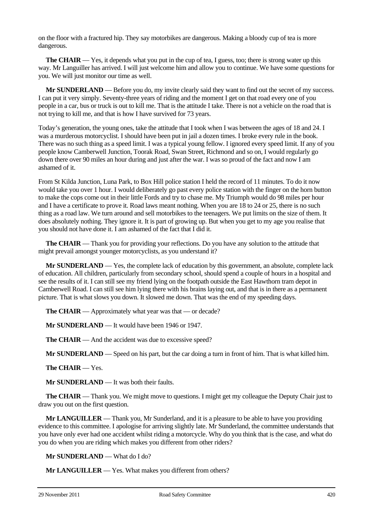on the floor with a fractured hip. They say motorbikes are dangerous. Making a bloody cup of tea is more dangerous.

**The CHAIR** — Yes, it depends what you put in the cup of tea, I guess, too; there is strong water up this way. Mr Languiller has arrived. I will just welcome him and allow you to continue. We have some questions for you. We will just monitor our time as well.

**Mr SUNDERLAND** — Before you do, my invite clearly said they want to find out the secret of my success. I can put it very simply. Seventy-three years of riding and the moment I get on that road every one of you people in a car, bus or truck is out to kill me. That is the attitude I take. There is not a vehicle on the road that is not trying to kill me, and that is how I have survived for 73 years.

Today's generation, the young ones, take the attitude that I took when I was between the ages of 18 and 24. I was a murderous motorcyclist. I should have been put in jail a dozen times. I broke every rule in the book. There was no such thing as a speed limit. I was a typical young fellow. I ignored every speed limit. If any of you people know Camberwell Junction, Toorak Road, Swan Street, Richmond and so on, I would regularly go down there over 90 miles an hour during and just after the war. I was so proud of the fact and now I am ashamed of it.

From St Kilda Junction, Luna Park, to Box Hill police station I held the record of 11 minutes. To do it now would take you over 1 hour. I would deliberately go past every police station with the finger on the horn button to make the cops come out in their little Fords and try to chase me. My Triumph would do 98 miles per hour and I have a certificate to prove it. Road laws meant nothing. When you are 18 to 24 or 25, there is no such thing as a road law. We turn around and sell motorbikes to the teenagers. We put limits on the size of them. It does absolutely nothing. They ignore it. It is part of growing up. But when you get to my age you realise that you should not have done it. I am ashamed of the fact that I did it.

**The CHAIR** — Thank you for providing your reflections. Do you have any solution to the attitude that might prevail amongst younger motorcyclists, as you understand it?

**Mr SUNDERLAND** — Yes, the complete lack of education by this government, an absolute, complete lack of education. All children, particularly from secondary school, should spend a couple of hours in a hospital and see the results of it. I can still see my friend lying on the footpath outside the East Hawthorn tram depot in Camberwell Road. I can still see him lying there with his brains laying out, and that is in there as a permanent picture. That is what slows you down. It slowed me down. That was the end of my speeding days.

**The CHAIR** — Approximately what year was that — or decade?

**Mr SUNDERLAND** — It would have been 1946 or 1947.

**The CHAIR** — And the accident was due to excessive speed?

**Mr SUNDERLAND** — Speed on his part, but the car doing a turn in front of him. That is what killed him.

**The CHAIR** — Yes.

**Mr SUNDERLAND** — It was both their faults.

**The CHAIR** — Thank you. We might move to questions. I might get my colleague the Deputy Chair just to draw you out on the first question.

**Mr LANGUILLER** — Thank you, Mr Sunderland, and it is a pleasure to be able to have you providing evidence to this committee. I apologise for arriving slightly late. Mr Sunderland, the committee understands that you have only ever had one accident whilst riding a motorcycle. Why do you think that is the case, and what do you do when you are riding which makes you different from other riders?

**Mr SUNDERLAND** — What do I do?

**Mr LANGUILLER** — Yes. What makes you different from others?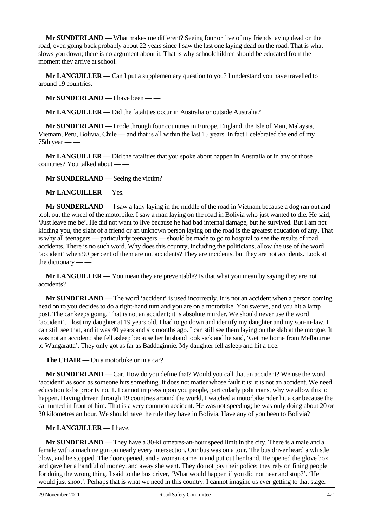**Mr SUNDERLAND** — What makes me different? Seeing four or five of my friends laying dead on the road, even going back probably about 22 years since I saw the last one laying dead on the road. That is what slows you down; there is no argument about it. That is why schoolchildren should be educated from the moment they arrive at school.

**Mr LANGUILLER** — Can I put a supplementary question to you? I understand you have travelled to around 19 countries.

**Mr SUNDERLAND** — I have been — —

**Mr LANGUILLER** — Did the fatalities occur in Australia or outside Australia?

**Mr SUNDERLAND** — I rode through four countries in Europe, England, the Isle of Man, Malaysia, Vietnam, Peru, Bolivia, Chile — and that is all within the last 15 years. In fact I celebrated the end of my  $75th$  year — —

**Mr LANGUILLER** — Did the fatalities that you spoke about happen in Australia or in any of those countries? You talked about — —

**Mr SUNDERLAND** — Seeing the victim?

**Mr LANGUILLER** — Yes.

**Mr SUNDERLAND** — I saw a lady laying in the middle of the road in Vietnam because a dog ran out and took out the wheel of the motorbike. I saw a man laying on the road in Bolivia who just wanted to die. He said, 'Just leave me be'. He did not want to live because he had bad internal damage, but he survived. But I am not kidding you, the sight of a friend or an unknown person laying on the road is the greatest education of any. That is why all teenagers — particularly teenagers — should be made to go to hospital to see the results of road accidents. There is no such word. Why does this country, including the politicians, allow the use of the word 'accident' when 90 per cent of them are not accidents? They are incidents, but they are not accidents. Look at the dictionary — —

**Mr LANGUILLER** — You mean they are preventable? Is that what you mean by saying they are not accidents?

**Mr SUNDERLAND** — The word 'accident' is used incorrectly. It is not an accident when a person coming head on to you decides to do a right-hand turn and you are on a motorbike. You swerve, and you hit a lamp post. The car keeps going. That is not an accident; it is absolute murder. We should never use the word 'accident'. I lost my daughter at 19 years old. I had to go down and identify my daughter and my son-in-law. I can still see that, and it was 40 years and six months ago. I can still see them laying on the slab at the morgue. It was not an accident; she fell asleep because her husband took sick and he said, 'Get me home from Melbourne to Wangaratta'. They only got as far as Baddaginnie. My daughter fell asleep and hit a tree.

**The CHAIR** — On a motorbike or in a car?

**Mr SUNDERLAND** — Car. How do you define that? Would you call that an accident? We use the word 'accident' as soon as someone hits something. It does not matter whose fault it is; it is not an accident. We need education to be priority no. 1. I cannot impress upon you people, particularly politicians, why we allow this to happen. Having driven through 19 countries around the world, I watched a motorbike rider hit a car because the car turned in front of him. That is a very common accident. He was not speeding; he was only doing about 20 or 30 kilometres an hour. We should have the rule they have in Bolivia. Have any of you been to Bolivia?

## **Mr LANGUILLER** — I have.

**Mr SUNDERLAND** — They have a 30-kilometres-an-hour speed limit in the city. There is a male and a female with a machine gun on nearly every intersection. Our bus was on a tour. The bus driver heard a whistle blow, and he stopped. The door opened, and a woman came in and put out her hand. He opened the glove box and gave her a handful of money, and away she went. They do not pay their police; they rely on fining people for doing the wrong thing. I said to the bus driver, 'What would happen if you did not hear and stop?'. 'He would just shoot'. Perhaps that is what we need in this country. I cannot imagine us ever getting to that stage.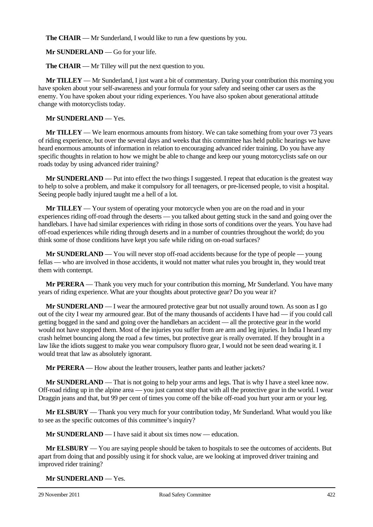**The CHAIR** — Mr Sunderland, I would like to run a few questions by you.

**Mr SUNDERLAND** — Go for your life.

**The CHAIR** — Mr Tilley will put the next question to you.

**Mr TILLEY** — Mr Sunderland, I just want a bit of commentary. During your contribution this morning you have spoken about your self-awareness and your formula for your safety and seeing other car users as the enemy. You have spoken about your riding experiences. You have also spoken about generational attitude change with motorcyclists today.

## **Mr SUNDERLAND** — Yes.

**Mr TILLEY** — We learn enormous amounts from history. We can take something from your over 73 years of riding experience, but over the several days and weeks that this committee has held public hearings we have heard enormous amounts of information in relation to encouraging advanced rider training. Do you have any specific thoughts in relation to how we might be able to change and keep our young motorcyclists safe on our roads today by using advanced rider training?

**Mr SUNDERLAND** — Put into effect the two things I suggested. I repeat that education is the greatest way to help to solve a problem, and make it compulsory for all teenagers, or pre-licensed people, to visit a hospital. Seeing people badly injured taught me a hell of a lot.

**Mr TILLEY** — Your system of operating your motorcycle when you are on the road and in your experiences riding off-road through the deserts — you talked about getting stuck in the sand and going over the handlebars. I have had similar experiences with riding in those sorts of conditions over the years. You have had off-road experiences while riding through deserts and in a number of countries throughout the world; do you think some of those conditions have kept you safe while riding on on-road surfaces?

**Mr SUNDERLAND** — You will never stop off-road accidents because for the type of people — young fellas — who are involved in those accidents, it would not matter what rules you brought in, they would treat them with contempt.

**Mr PERERA** — Thank you very much for your contribution this morning, Mr Sunderland. You have many years of riding experience. What are your thoughts about protective gear? Do you wear it?

**Mr SUNDERLAND** — I wear the armoured protective gear but not usually around town. As soon as I go out of the city I wear my armoured gear. But of the many thousands of accidents I have had — if you could call getting bogged in the sand and going over the handlebars an accident — all the protective gear in the world would not have stopped them. Most of the injuries you suffer from are arm and leg injuries. In India I heard my crash helmet bouncing along the road a few times, but protective gear is really overrated. If they brought in a law like the idiots suggest to make you wear compulsory fluoro gear, I would not be seen dead wearing it. I would treat that law as absolutely ignorant.

**Mr PERERA** — How about the leather trousers, leather pants and leather jackets?

**Mr SUNDERLAND** — That is not going to help your arms and legs. That is why I have a steel knee now. Off-road riding up in the alpine area — you just cannot stop that with all the protective gear in the world. I wear Draggin jeans and that, but 99 per cent of times you come off the bike off-road you hurt your arm or your leg.

**Mr ELSBURY** — Thank you very much for your contribution today, Mr Sunderland. What would you like to see as the specific outcomes of this committee's inquiry?

**Mr SUNDERLAND** — I have said it about six times now — education.

**Mr ELSBURY** — You are saying people should be taken to hospitals to see the outcomes of accidents. But apart from doing that and possibly using it for shock value, are we looking at improved driver training and improved rider training?

**Mr SUNDERLAND** — Yes.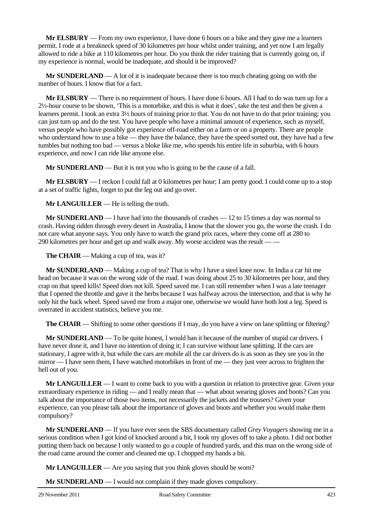**Mr ELSBURY** — From my own experience, I have done 6 hours on a bike and they gave me a learners permit. I rode at a breakneck speed of 30 kilometres per hour whilst under training, and yet now I am legally allowed to ride a bike at 110 kilometres per hour. Do you think the rider training that is currently going on, if my experience is normal, would be inadequate, and should it be improved?

**Mr SUNDERLAND** — A lot of it is inadequate because there is too much cheating going on with the number of hours. I know that for a fact.

**Mr ELSBURY** — There is no requirement of hours. I have done 6 hours. All I had to do was turn up for a 2½-hour course to be shown, 'This is a motorbike, and this is what it does', take the test and then be given a learners permit. I took an extra 3½ hours of training prior to that. You do not have to do that prior training; you can just turn up and do the test. You have people who have a minimal amount of experience, such as myself, versus people who have possibly got experience off-road either on a farm or on a property. There are people who understand how to use a bike — they have the balance, they have the speed sorted out, they have had a few tumbles but nothing too bad — versus a bloke like me, who spends his entire life in suburbia, with 6 hours experience, and now I can ride like anyone else.

**Mr SUNDERLAND** — But it is not you who is going to be the cause of a fall.

**Mr ELSBURY** — I reckon I could fall at 0 kilometres per hour; I am pretty good. I could come up to a stop at a set of traffic lights, forget to put the leg out and go over.

**Mr LANGUILLER** — He is telling the truth.

**Mr SUNDERLAND** — I have had into the thousands of crashes — 12 to 15 times a day was normal to crash. Having ridden through every desert in Australia, I know that the slower you go, the worse the crash. I do not care what anyone says. You only have to watch the grand prix races, where they come off at 280 to 290 kilometres per hour and get up and walk away. My worse accident was the result — —

**The CHAIR** — Making a cup of tea, was it?

**Mr SUNDERLAND** — Making a cup of tea? That is why I have a steel knee now. In India a car hit me head on because it was on the wrong side of the road. I was doing about 25 to 30 kilometres per hour, and they crap on that speed kills! Speed does not kill. Speed saved me. I can still remember when I was a late teenager that I opened the throttle and gave it the herbs because I was halfway across the intersection, and that is why he only hit the back wheel. Speed saved me from a major one, otherwise we would have both lost a leg. Speed is overrated in accident statistics, believe you me.

**The CHAIR** — Shifting to some other questions if I may, do you have a view on lane splitting or filtering?

**Mr SUNDERLAND** — To be quite honest, I would ban it because of the number of stupid car drivers. I have never done it, and I have no intention of doing it; I can survive without lane splitting. If the cars are stationary, I agree with it, but while the cars are mobile all the car drivers do is as soon as they see you in the mirror — I have seen them, I have watched motorbikes in front of me — they just veer across to frighten the hell out of you.

**Mr LANGUILLER** — I want to come back to you with a question in relation to protective gear. Given your extraordinary experience in riding — and I really mean that — what about wearing gloves and boots? Can you talk about the importance of those two items, not necessarily the jackets and the trousers? Given your experience, can you please talk about the importance of gloves and boots and whether you would make them compulsory?

**Mr SUNDERLAND** — If you have ever seen the SBS documentary called *Grey Voyagers* showing me in a serious condition when I got kind of knocked around a bit, I took my gloves off to take a photo. I did not bother putting them back on because I only wanted to go a couple of hundred yards, and this man on the wrong side of the road came around the corner and cleaned me up. I chopped my hands a bit.

**Mr LANGUILLER** — Are you saying that you think gloves should be worn?

**Mr SUNDERLAND** — I would not complain if they made gloves compulsory.